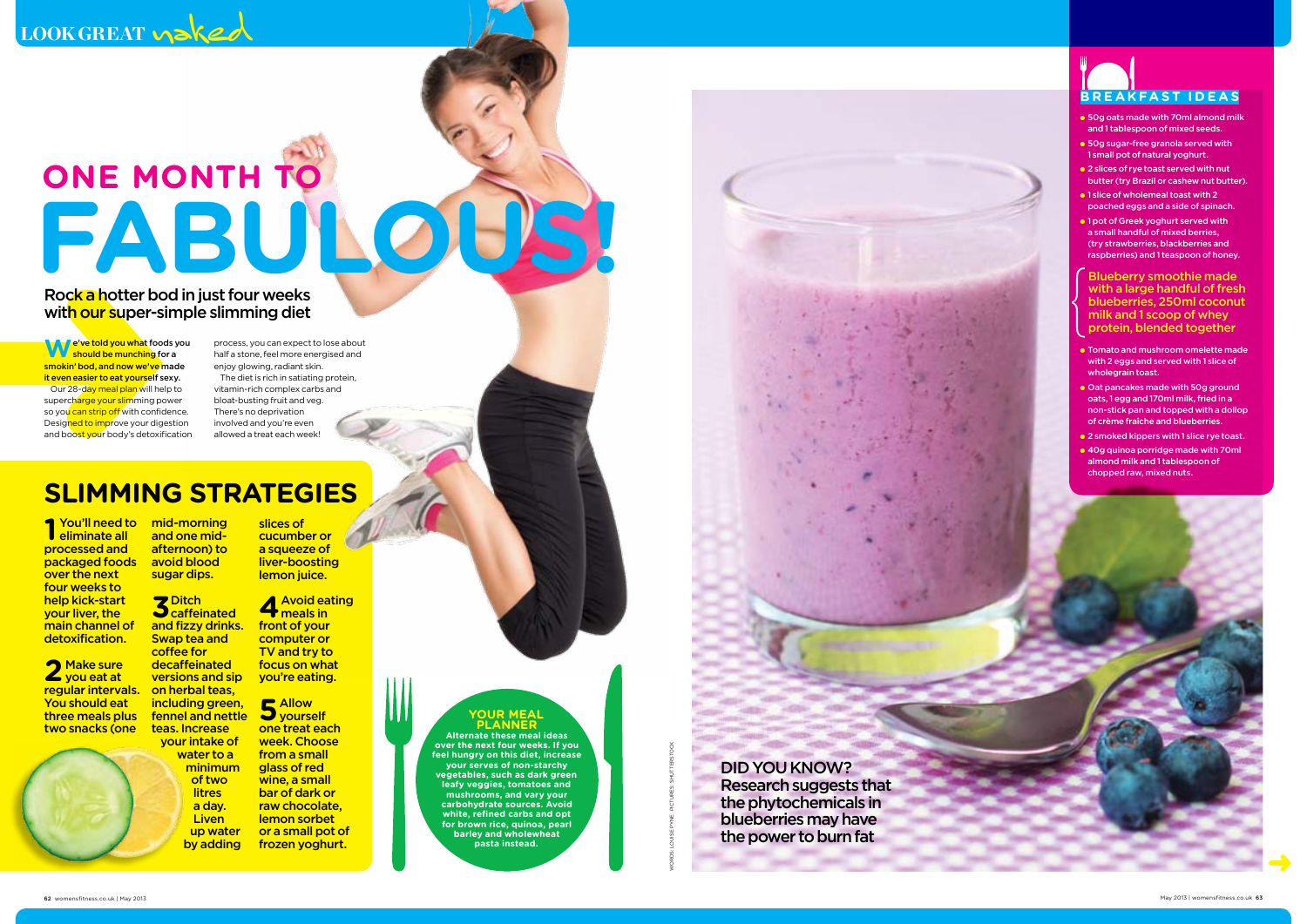Rock a hotter bod in just four weeks with our super-simple slimming diet

**W**e've told you what foods you  $\blacksquare$  should be munching for a smokin' bod, and now we've made it even easier to eat yourself sexy. Our 28-day meal plan will help to supercharge your slimming power so you can strip off with confidence.<br>Designed to improve your digestion and boost your body's detoxification

process, you can expect to lose about half a stone, feel more energised and

Whate to a from a small feel hungy of this disk, incesses<br>
minimum glass of red a form a small<br>
women in this disk, incesses<br>
but the phytocher and visual state of the power of the phytocher and a day, the chirac studies o **planner Alternate these meal ideas over the next four weeks. If you feel hungry on this diet, increase your serves of non-starchy vegetables, such as dark green leafy veggies, tomatoes and mushrooms, and vary your carbohydrate sources. Avoid white, refined carbs and opt for brown rice, quinoa, pearl barley and wholewheat pasta instead.**

enjoy glowing, radiant skin. The diet is rich in satiating protein, vitamin-rich complex carbs and bloat-busting fruit and veg. There's no deprivation involved and you're even allowed a treat each week!

## **SLIMMING STRATEGIES**

2 Make sure<br>2 you eat at regular intervals. on herbal teas, You should eat three meals plus two snacks (one

**Your meal** 

**1** You'll need to eliminate all processed and packaged foods avoid blood over the next four weeks to help kick-start your liver, the main channel of detoxification.

DID YOU KNOW? Research suggests that the phytochemicals in blueberries may have the power to burn fat

# **One month to** FABULOUS!

mid-morning and one midafternoon) to sugar dips. slices of cucumber or a squeeze of liver-boosting lemon juice.

teas. Increase your intake of a day. **Liven** up water by adding

**3**Ditch caffeinated and fizzy drinks. **Swap tea and** coffee for decaffeinated versions and sip **4**Avoid eating meals in front of your computer or TV and try to focus on what you're eating.

including green, fennel and nettle water to a minimum of two **litres 5** Networks one treat each week. Choose from a small glass of red

wine, a small bar of dark or raw chocolate, lemon sorbet or a small pot of frozen yoghurt.



- 50g oats made with 70ml almond milk and 1 tablespoon of mixed seeds.
- **B** 50g sugar-free granola served with 1 small pot of natural yoghurt.
- 2 slices of rye toast served with nut butter (try Brazil or cashew nut butter).
- 1 slice of wholemeal toast with 2 poached eggs and a side of spinach.
- 1 pot of Greek yoghurt served with a small handful of mixed berries, (try strawberries, blackberries and raspberries) and 1 teaspoon of honey.

- Tomato and mushroom omelette made with 2 eggs and served with 1 slice of wholegrain toast.
- Oat pancakes made with 50g ground oats, 1 egg and 170ml milk, fried in a non-stick pan and topped with a dollop of crème fraîche and blueberries.
- **2** smoked kippers with 1 slice rye toast.
- 40g quinoa porridge made with 70ml almond milk and 1 tablespoon of chopped raw, mixed nuts.



Blueberry smoothie made with a large handful of fresh blueberries, 250ml coconut milk and 1 scoop of whey protein, blended together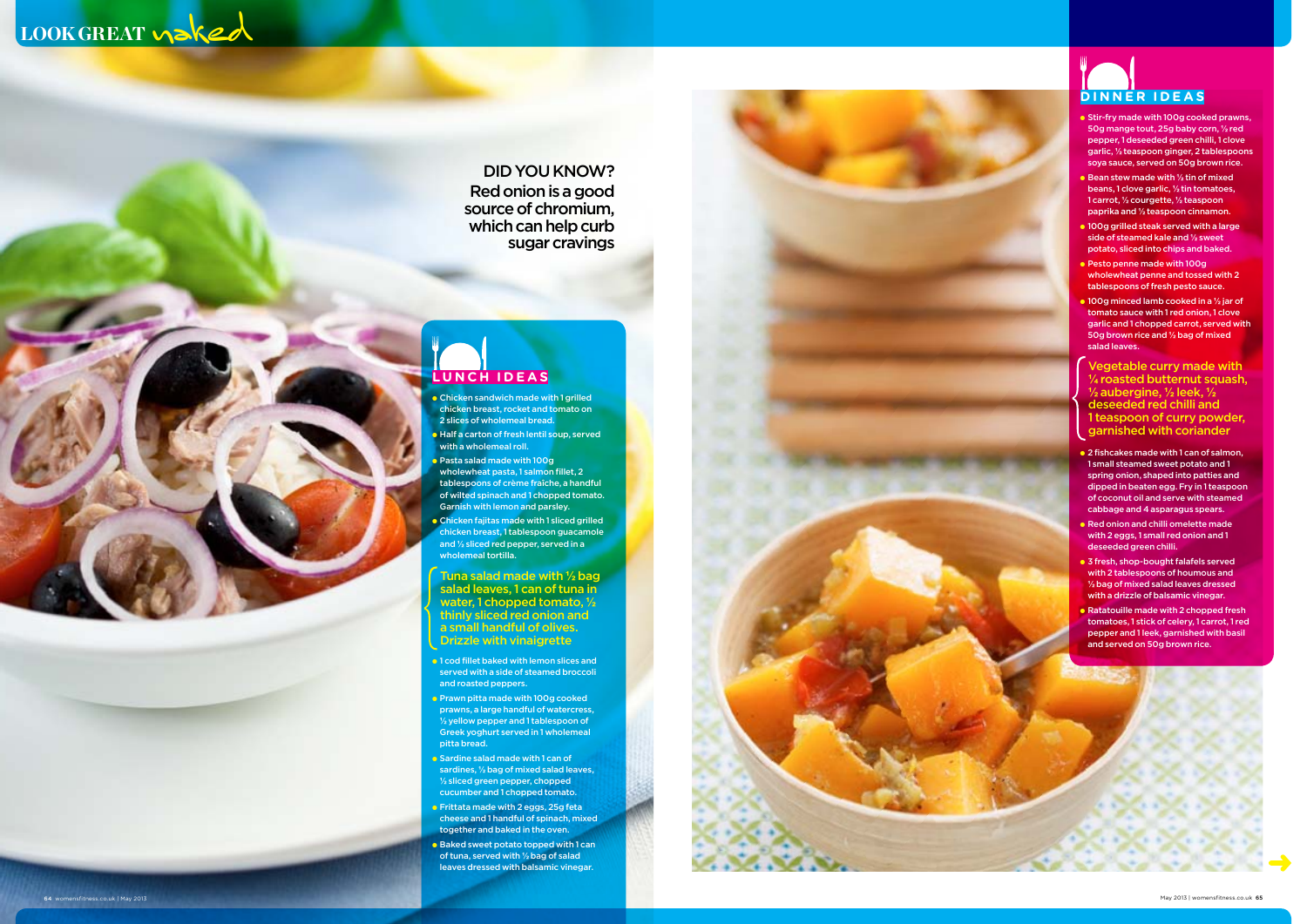

## **lunch i dea s**

- Chicken sandwich made with 1 grilled chicken breast, rocket and tomato on 2 slices of wholemeal bread.
- **Half a carton of fresh lentil soup, served** with a wholemeal roll.
- Pasta salad made with 100g wholewheat pasta, 1 salmon fillet, 2 tablespoons of crème fraîche, a handful of wilted spinach and 1 chopped tomato. Garnish with lemon and parsley. ● Chicken fajitas made with 1 sliced grilled
- chicken breast, 1 tablespoon guacamole and **½** sliced red pepper, served in a wholemeal tortilla.

- 1 cod fillet baked with lemon slices and served with a side of steamed broccoli and roasted peppers.
- Prawn pitta made with 100g cooked prawns, a large handful of watercress, **½** yellow pepper and 1 tablespoon of Greek yoghurt served in 1 wholemeal pitta bread.
- Sardine salad made with 1 can of sardines, **½** bag of mixed salad leaves, **½** sliced green pepper, chopped cucumber and 1 chopped tomato.
- **Frittata made with 2 eggs, 25g feta** cheese and 1 handful of spinach, mixed together and baked in the oven.
- Baked sweet potato topped with 1 can of tuna, served with **½** bag of salad leaves dressed with balsamic vinegar.

Tuna salad made with **½** bag salad leaves, 1 can of tuna in water, 1 chopped tomato, **½** thinly sliced red onion and a small handful of olives. Drizzle with vinaigrette



- 
- 
- 
- 
- 
- 
- 
- 
- 
- 

## didyou kn ow? Red onion is a good source of chromium, which can help curb sugar cravings